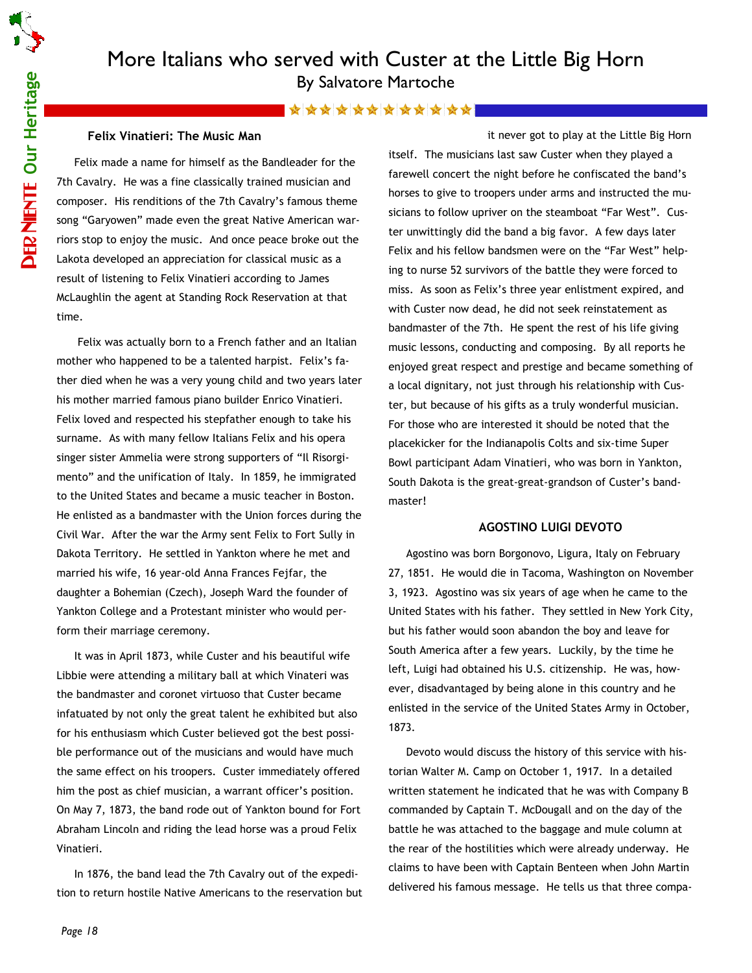# More Italians who served with Custer at the Little Big Horn By Salvatore Martoche

### \*\*\*\*\*\*\*\*\*\*\*\*\*

#### Felix Vinatieri: The Music Man

Felix made a name for himself as the Bandleader for the 7th Cavalry. He was a fine classically trained musician and composer. His renditions of the 7th Cavalry's famous theme song "Garyowen" made even the great Native American warriors stop to enjoy the music. And once peace broke out the Lakota developed an appreciation for classical music as a result of listening to Felix Vinatieri according to James McLaughlin the agent at Standing Rock Reservation at that time.

 Felix was actually born to a French father and an Italian mother who happened to be a talented harpist. Felix's father died when he was a very young child and two years later his mother married famous piano builder Enrico Vinatieri. Felix loved and respected his stepfather enough to take his surname. As with many fellow Italians Felix and his opera singer sister Ammelia were strong supporters of "Il Risorgimento" and the unification of Italy. In 1859, he immigrated to the United States and became a music teacher in Boston. He enlisted as a bandmaster with the Union forces during the Civil War. After the war the Army sent Felix to Fort Sully in Dakota Territory. He settled in Yankton where he met and married his wife, 16 year-old Anna Frances Fejfar, the daughter a Bohemian (Czech), Joseph Ward the founder of Yankton College and a Protestant minister who would perform their marriage ceremony.

It was in April 1873, while Custer and his beautiful wife Libbie were attending a military ball at which Vinateri was the bandmaster and coronet virtuoso that Custer became infatuated by not only the great talent he exhibited but also for his enthusiasm which Custer believed got the best possible performance out of the musicians and would have much the same effect on his troopers. Custer immediately offered him the post as chief musician, a warrant officer's position. On May 7, 1873, the band rode out of Yankton bound for Fort Abraham Lincoln and riding the lead horse was a proud Felix Vinatieri.

In 1876, the band lead the 7th Cavalry out of the expedition to return hostile Native Americans to the reservation but

it never got to play at the Little Big Horn itself. The musicians last saw Custer when they played a farewell concert the night before he confiscated the band's horses to give to troopers under arms and instructed the musicians to follow upriver on the steamboat "Far West". Custer unwittingly did the band a big favor. A few days later Felix and his fellow bandsmen were on the "Far West" helping to nurse 52 survivors of the battle they were forced to miss. As soon as Felix's three year enlistment expired, and with Custer now dead, he did not seek reinstatement as bandmaster of the 7th. He spent the rest of his life giving music lessons, conducting and composing. By all reports he enjoyed great respect and prestige and became something of a local dignitary, not just through his relationship with Custer, but because of his gifts as a truly wonderful musician. For those who are interested it should be noted that the placekicker for the Indianapolis Colts and six-time Super Bowl participant Adam Vinatieri, who was born in Yankton, South Dakota is the great-great-grandson of Custer's bandmaster!

#### AGOSTINO LUIGI DEVOTO

Agostino was born Borgonovo, Ligura, Italy on February 27, 1851. He would die in Tacoma, Washington on November 3, 1923. Agostino was six years of age when he came to the United States with his father. They settled in New York City, but his father would soon abandon the boy and leave for South America after a few years. Luckily, by the time he left, Luigi had obtained his U.S. citizenship. He was, however, disadvantaged by being alone in this country and he enlisted in the service of the United States Army in October, 1873.

Devoto would discuss the history of this service with historian Walter M. Camp on October 1, 1917. In a detailed written statement he indicated that he was with Company B commanded by Captain T. McDougall and on the day of the battle he was attached to the baggage and mule column at the rear of the hostilities which were already underway. He claims to have been with Captain Benteen when John Martin delivered his famous message. He tells us that three compa